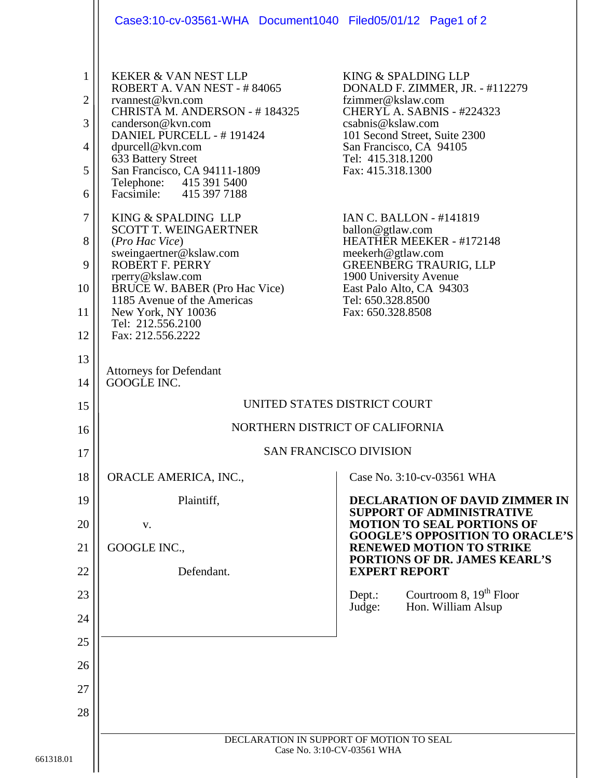|                                                                                          | Case3:10-cv-03561-WHA Document1040 Filed05/01/12 Page1 of 2                                                                                                                                                                                                                                                                                                                                                                                                                                                                                                                                   |                                                                                                                                                                                                                                                                                                                                                                                                                                                                              |
|------------------------------------------------------------------------------------------|-----------------------------------------------------------------------------------------------------------------------------------------------------------------------------------------------------------------------------------------------------------------------------------------------------------------------------------------------------------------------------------------------------------------------------------------------------------------------------------------------------------------------------------------------------------------------------------------------|------------------------------------------------------------------------------------------------------------------------------------------------------------------------------------------------------------------------------------------------------------------------------------------------------------------------------------------------------------------------------------------------------------------------------------------------------------------------------|
| $\mathbf{1}$<br>$\overline{2}$<br>3<br>4<br>5<br>6<br>$\tau$<br>8<br>9<br>10<br>11<br>12 | <b>KEKER &amp; VAN NEST LLP</b><br>ROBERT A. VAN NEST - #84065<br>rvannest@kvn.com<br>CHRISTA M. ANDERSON - #184325<br>canderson@kvn.com<br>DANIEL PURCELL - #191424<br>dpurcell@kvn.com<br>633 Battery Street<br>San Francisco, CA 94111-1809<br>Telephone: 415 391 5400<br>Facsimile: 415 397 7188<br>KING & SPALDING LLP<br><b>SCOTT T. WEINGAERTNER</b><br>(Pro Hac Vice)<br>sweingaertner@kslaw.com<br><b>ROBERT F. PERRY</b><br>rperry@kslaw.com<br><b>BRUCE W. BABER (Pro Hac Vice)</b><br>1185 Avenue of the Americas<br>New York, NY 10036<br>Tel: 212.556.2100<br>Fax: 212.556.2222 | KING & SPALDING LLP<br>DONALD F. ZIMMER, JR. - #112279<br>fzimmer@kslaw.com<br>CHERYL A. SABNIS - #224323<br>csabnis@kslaw.com<br>101 Second Street, Suite 2300<br>San Francisco, CA 94105<br>Tel: 415.318.1200<br>Fax: 415.318.1300<br><b>IAN C. BALLON - #141819</b><br>ballon@gtlaw.com<br>HEATHER MEEKER - #172148<br>meekerh@gtlaw.com<br><b>GREENBERG TRAURIG, LLP</b><br>1900 University Avenue<br>East Palo Alto, CA 94303<br>Tel: 650.328.8500<br>Fax: 650.328.8508 |
| 13<br>14                                                                                 | <b>Attorneys for Defendant</b><br>GOOGLE INC.                                                                                                                                                                                                                                                                                                                                                                                                                                                                                                                                                 |                                                                                                                                                                                                                                                                                                                                                                                                                                                                              |
| 15                                                                                       | UNITED STATES DISTRICT COURT                                                                                                                                                                                                                                                                                                                                                                                                                                                                                                                                                                  |                                                                                                                                                                                                                                                                                                                                                                                                                                                                              |
| 16                                                                                       | NORTHERN DISTRICT OF CALIFORNIA                                                                                                                                                                                                                                                                                                                                                                                                                                                                                                                                                               |                                                                                                                                                                                                                                                                                                                                                                                                                                                                              |
| 17                                                                                       | <b>SAN FRANCISCO DIVISION</b>                                                                                                                                                                                                                                                                                                                                                                                                                                                                                                                                                                 |                                                                                                                                                                                                                                                                                                                                                                                                                                                                              |
| 18                                                                                       | ORACLE AMERICA, INC.,                                                                                                                                                                                                                                                                                                                                                                                                                                                                                                                                                                         | Case No. 3:10-cv-03561 WHA                                                                                                                                                                                                                                                                                                                                                                                                                                                   |
| 19                                                                                       | Plaintiff,                                                                                                                                                                                                                                                                                                                                                                                                                                                                                                                                                                                    | <b>DECLARATION OF DAVID ZIMMER IN</b><br><b>SUPPORT OF ADMINISTRATIVE</b>                                                                                                                                                                                                                                                                                                                                                                                                    |
| 20                                                                                       | V.                                                                                                                                                                                                                                                                                                                                                                                                                                                                                                                                                                                            | <b>MOTION TO SEAL PORTIONS OF</b><br><b>GOOGLE'S OPPOSITION TO ORACLE'S</b>                                                                                                                                                                                                                                                                                                                                                                                                  |
| 21                                                                                       | GOOGLE INC.,                                                                                                                                                                                                                                                                                                                                                                                                                                                                                                                                                                                  | <b>RENEWED MOTION TO STRIKE</b><br>PORTIONS OF DR. JAMES KEARL'S                                                                                                                                                                                                                                                                                                                                                                                                             |
| 22                                                                                       | Defendant.                                                                                                                                                                                                                                                                                                                                                                                                                                                                                                                                                                                    | <b>EXPERT REPORT</b>                                                                                                                                                                                                                                                                                                                                                                                                                                                         |
| 23                                                                                       |                                                                                                                                                                                                                                                                                                                                                                                                                                                                                                                                                                                               | Courtroom 8, $19th$ Floor<br>Dept.:<br>Hon. William Alsup<br>Judge:                                                                                                                                                                                                                                                                                                                                                                                                          |
| 24                                                                                       |                                                                                                                                                                                                                                                                                                                                                                                                                                                                                                                                                                                               |                                                                                                                                                                                                                                                                                                                                                                                                                                                                              |
| 25                                                                                       |                                                                                                                                                                                                                                                                                                                                                                                                                                                                                                                                                                                               |                                                                                                                                                                                                                                                                                                                                                                                                                                                                              |
| 26                                                                                       |                                                                                                                                                                                                                                                                                                                                                                                                                                                                                                                                                                                               |                                                                                                                                                                                                                                                                                                                                                                                                                                                                              |
| 27                                                                                       |                                                                                                                                                                                                                                                                                                                                                                                                                                                                                                                                                                                               |                                                                                                                                                                                                                                                                                                                                                                                                                                                                              |
| 28                                                                                       |                                                                                                                                                                                                                                                                                                                                                                                                                                                                                                                                                                                               |                                                                                                                                                                                                                                                                                                                                                                                                                                                                              |
|                                                                                          | DECLARATION IN SUPPORT OF MOTION TO SEAL<br>Case No. 3:10-CV-03561 WHA                                                                                                                                                                                                                                                                                                                                                                                                                                                                                                                        |                                                                                                                                                                                                                                                                                                                                                                                                                                                                              |
| 1                                                                                        |                                                                                                                                                                                                                                                                                                                                                                                                                                                                                                                                                                                               |                                                                                                                                                                                                                                                                                                                                                                                                                                                                              |